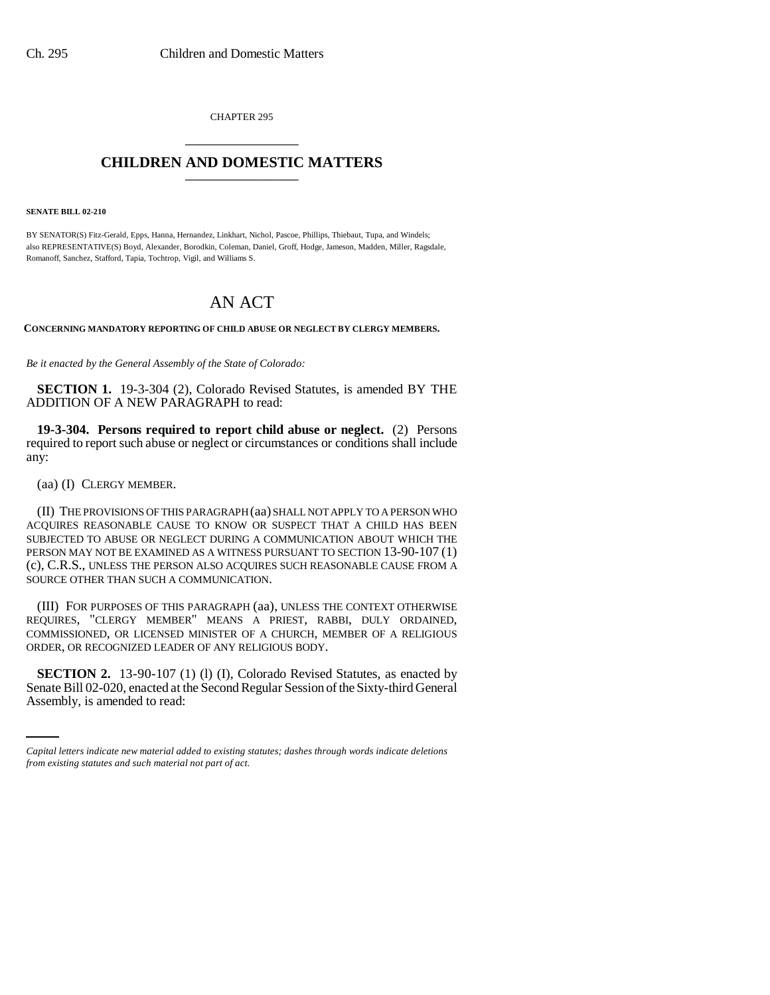CHAPTER 295 \_\_\_\_\_\_\_\_\_\_\_\_\_\_\_

## **CHILDREN AND DOMESTIC MATTERS** \_\_\_\_\_\_\_\_\_\_\_\_\_\_\_

**SENATE BILL 02-210**

BY SENATOR(S) Fitz-Gerald, Epps, Hanna, Hernandez, Linkhart, Nichol, Pascoe, Phillips, Thiebaut, Tupa, and Windels; also REPRESENTATIVE(S) Boyd, Alexander, Borodkin, Coleman, Daniel, Groff, Hodge, Jameson, Madden, Miller, Ragsdale, Romanoff, Sanchez, Stafford, Tapia, Tochtrop, Vigil, and Williams S.

## AN ACT

**CONCERNING MANDATORY REPORTING OF CHILD ABUSE OR NEGLECT BY CLERGY MEMBERS.**

*Be it enacted by the General Assembly of the State of Colorado:*

**SECTION 1.** 19-3-304 (2), Colorado Revised Statutes, is amended BY THE ADDITION OF A NEW PARAGRAPH to read:

**19-3-304. Persons required to report child abuse or neglect.** (2) Persons required to report such abuse or neglect or circumstances or conditions shall include any:

(aa) (I) CLERGY MEMBER.

(II) THE PROVISIONS OF THIS PARAGRAPH (aa) SHALL NOT APPLY TO A PERSON WHO ACQUIRES REASONABLE CAUSE TO KNOW OR SUSPECT THAT A CHILD HAS BEEN SUBJECTED TO ABUSE OR NEGLECT DURING A COMMUNICATION ABOUT WHICH THE PERSON MAY NOT BE EXAMINED AS A WITNESS PURSUANT TO SECTION 13-90-107 (1) (c), C.R.S., UNLESS THE PERSON ALSO ACQUIRES SUCH REASONABLE CAUSE FROM A SOURCE OTHER THAN SUCH A COMMUNICATION.

(III) FOR PURPOSES OF THIS PARAGRAPH (aa), UNLESS THE CONTEXT OTHERWISE REQUIRES, "CLERGY MEMBER" MEANS A PRIEST, RABBI, DULY ORDAINED, COMMISSIONED, OR LICENSED MINISTER OF A CHURCH, MEMBER OF A RELIGIOUS ORDER, OR RECOGNIZED LEADER OF ANY RELIGIOUS BODY.

**SECTION 2.** 13-90-107 (1) (1) (I), Colorado Revised Statutes, as enacted by Senate Bill 02-020, enacted at the Second Regular Session of the Sixty-third General Assembly, is amended to read:

*Capital letters indicate new material added to existing statutes; dashes through words indicate deletions from existing statutes and such material not part of act.*